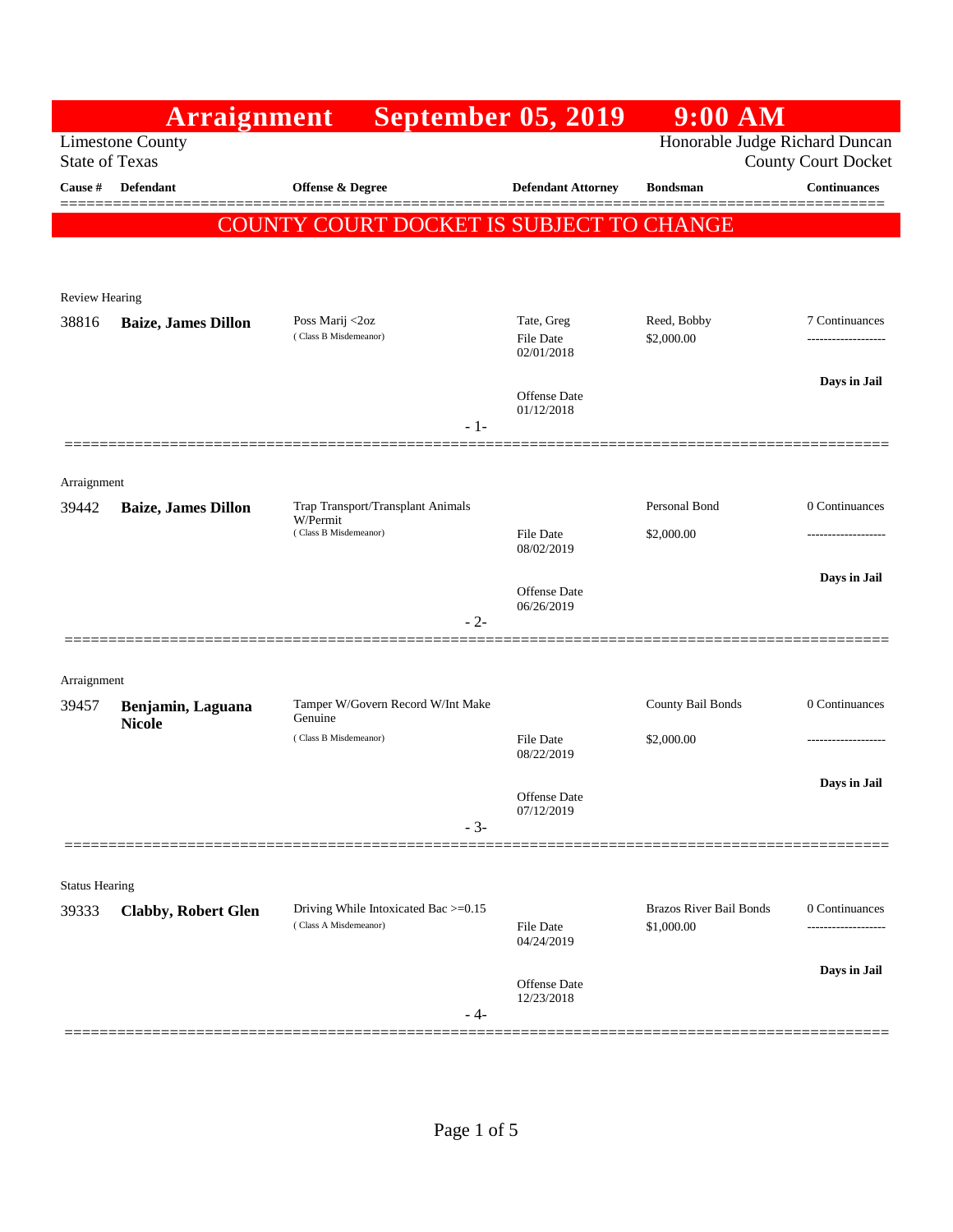|                                                                                                                  | Arraignment                |                                               | <b>September 05, 2019</b>         | $9:00$ AM                      |                     |
|------------------------------------------------------------------------------------------------------------------|----------------------------|-----------------------------------------------|-----------------------------------|--------------------------------|---------------------|
| Honorable Judge Richard Duncan<br><b>Limestone County</b><br><b>County Court Docket</b><br><b>State of Texas</b> |                            |                                               |                                   |                                |                     |
| Cause #                                                                                                          | <b>Defendant</b>           | <b>Offense &amp; Degree</b>                   | <b>Defendant Attorney</b>         | <b>Bondsman</b>                | <b>Continuances</b> |
|                                                                                                                  |                            | COUNTY COURT DOCKET IS SUBJECT TO CHANGE      |                                   |                                |                     |
|                                                                                                                  |                            |                                               |                                   |                                |                     |
| <b>Review Hearing</b>                                                                                            |                            |                                               |                                   |                                |                     |
| 38816                                                                                                            | <b>Baize, James Dillon</b> | Poss Marij <2oz                               | Tate, Greg                        | Reed, Bobby                    | 7 Continuances      |
|                                                                                                                  |                            | (Class B Misdemeanor)                         | File Date<br>02/01/2018           | \$2,000.00                     | ------------------  |
|                                                                                                                  |                            | $-1-$                                         | <b>Offense</b> Date<br>01/12/2018 |                                | Days in Jail        |
|                                                                                                                  |                            |                                               |                                   |                                |                     |
| Arraignment                                                                                                      |                            |                                               |                                   |                                |                     |
| 39442                                                                                                            | <b>Baize, James Dillon</b> | Trap Transport/Transplant Animals<br>W/Permit |                                   | Personal Bond                  | 0 Continuances      |
|                                                                                                                  |                            | (Class B Misdemeanor)                         | <b>File Date</b><br>08/02/2019    | \$2,000.00                     |                     |
|                                                                                                                  |                            |                                               |                                   |                                | Days in Jail        |
|                                                                                                                  |                            |                                               | <b>Offense</b> Date<br>06/26/2019 |                                |                     |
|                                                                                                                  |                            | $-2-$                                         |                                   |                                |                     |
| Arraignment                                                                                                      |                            |                                               |                                   |                                |                     |
| 39457                                                                                                            | Benjamin, Laguana          | Tamper W/Govern Record W/Int Make<br>Genuine  |                                   | County Bail Bonds              | 0 Continuances      |
|                                                                                                                  | <b>Nicole</b>              | (Class B Misdemeanor)                         | <b>File Date</b>                  | \$2,000.00                     |                     |
|                                                                                                                  |                            |                                               | 08/22/2019                        |                                | Days in Jail        |
|                                                                                                                  |                            |                                               | Offense Date<br>07/12/2019        |                                |                     |
|                                                                                                                  |                            | $-3-$                                         |                                   |                                |                     |
|                                                                                                                  |                            |                                               |                                   |                                |                     |
| <b>Status Hearing</b><br>39333                                                                                   | <b>Clabby, Robert Glen</b> | Driving While Intoxicated Bac >=0.15          |                                   | <b>Brazos River Bail Bonds</b> | 0 Continuances      |
|                                                                                                                  |                            | (Class A Misdemeanor)                         | <b>File Date</b><br>04/24/2019    | \$1,000.00                     | -----------------   |
|                                                                                                                  |                            |                                               | Offense Date                      |                                | Days in Jail        |
|                                                                                                                  |                            | - 4-                                          | 12/23/2018                        |                                |                     |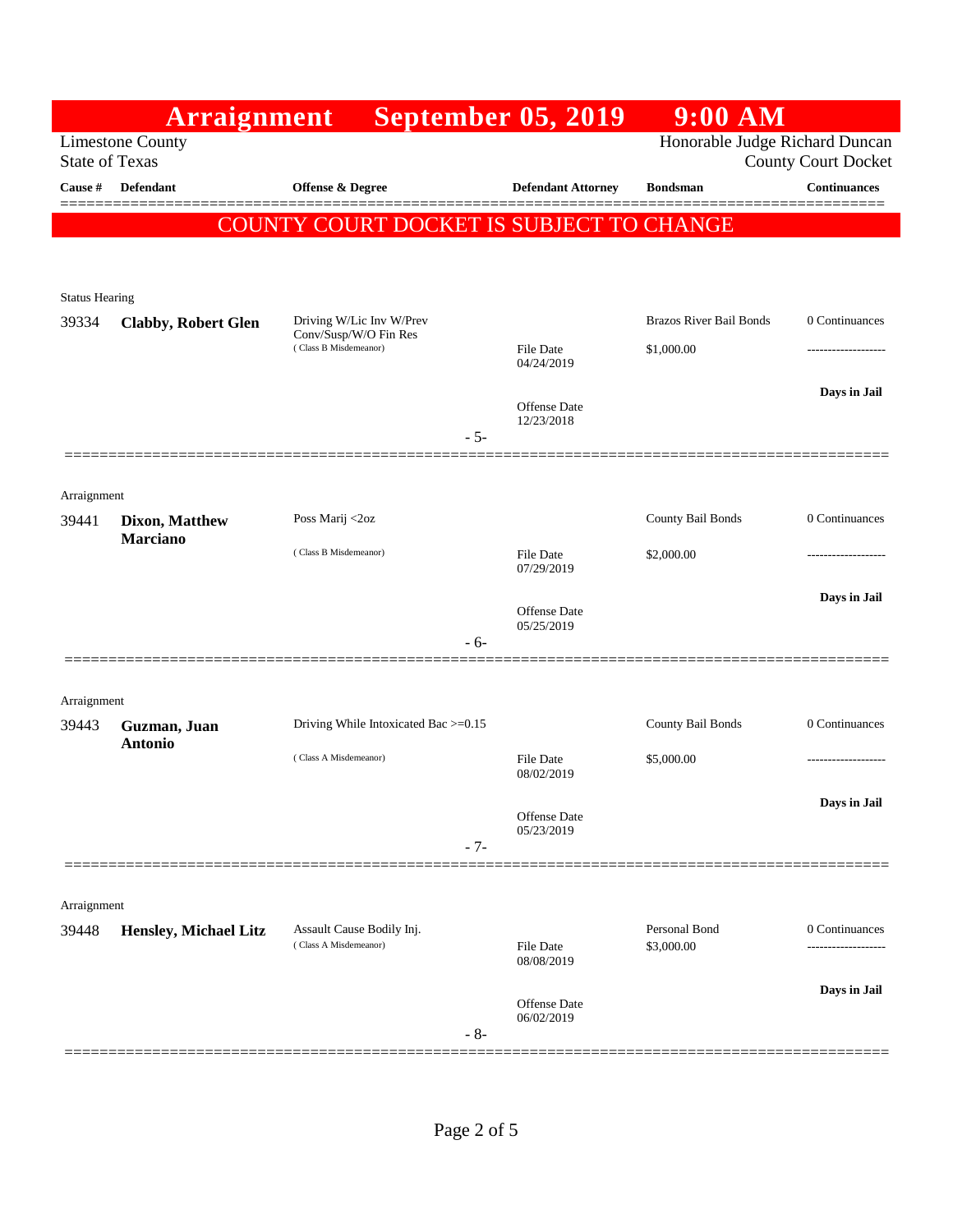|                                                                                    | Arraignment                              |                                                                            | <b>September 05, 2019</b>         | $9:00$ AM                                    |                                       |  |  |  |
|------------------------------------------------------------------------------------|------------------------------------------|----------------------------------------------------------------------------|-----------------------------------|----------------------------------------------|---------------------------------------|--|--|--|
| Honorable Judge Richard Duncan<br><b>Limestone County</b><br><b>State of Texas</b> |                                          |                                                                            |                                   |                                              | <b>County Court Docket</b>            |  |  |  |
| Cause #                                                                            | Defendant                                | Offense & Degree                                                           | <b>Defendant Attorney</b>         | <b>Bondsman</b>                              | <b>Continuances</b>                   |  |  |  |
|                                                                                    |                                          |                                                                            |                                   |                                              |                                       |  |  |  |
|                                                                                    | COUNTY COURT DOCKET IS SUBJECT TO CHANGE |                                                                            |                                   |                                              |                                       |  |  |  |
|                                                                                    |                                          |                                                                            |                                   |                                              |                                       |  |  |  |
| <b>Status Hearing</b>                                                              |                                          |                                                                            |                                   |                                              |                                       |  |  |  |
| 39334                                                                              | <b>Clabby, Robert Glen</b>               | Driving W/Lic Inv W/Prev<br>Conv/Susp/W/O Fin Res<br>(Class B Misdemeanor) |                                   | <b>Brazos River Bail Bonds</b><br>\$1,000.00 | 0 Continuances                        |  |  |  |
|                                                                                    |                                          |                                                                            | File Date<br>04/24/2019           |                                              | .                                     |  |  |  |
|                                                                                    |                                          |                                                                            |                                   |                                              | Days in Jail                          |  |  |  |
|                                                                                    |                                          |                                                                            | <b>Offense</b> Date<br>12/23/2018 |                                              |                                       |  |  |  |
|                                                                                    |                                          | $-5-$                                                                      |                                   |                                              |                                       |  |  |  |
|                                                                                    |                                          |                                                                            |                                   |                                              |                                       |  |  |  |
| Arraignment<br>39441                                                               | Dixon, Matthew                           | Poss Marij <2oz                                                            |                                   | County Bail Bonds                            | 0 Continuances                        |  |  |  |
|                                                                                    | <b>Marciano</b>                          | (Class B Misdemeanor)                                                      |                                   |                                              |                                       |  |  |  |
|                                                                                    |                                          |                                                                            | File Date<br>07/29/2019           | \$2,000.00                                   | ------------------                    |  |  |  |
|                                                                                    |                                          |                                                                            | <b>Offense</b> Date               |                                              | Days in Jail                          |  |  |  |
|                                                                                    |                                          | $-6-$                                                                      | 05/25/2019                        |                                              |                                       |  |  |  |
|                                                                                    |                                          |                                                                            |                                   |                                              |                                       |  |  |  |
| Arraignment                                                                        |                                          |                                                                            |                                   |                                              |                                       |  |  |  |
| 39443                                                                              | Guzman, Juan                             | Driving While Intoxicated Bac >=0.15                                       |                                   | County Bail Bonds                            | 0 Continuances                        |  |  |  |
|                                                                                    | <b>Antonio</b>                           | (Class A Misdemeanor)                                                      | <b>File Date</b>                  | \$5,000.00                                   |                                       |  |  |  |
|                                                                                    |                                          |                                                                            | 08/02/2019                        |                                              |                                       |  |  |  |
|                                                                                    |                                          |                                                                            | Offense Date                      |                                              | Days in Jail                          |  |  |  |
|                                                                                    |                                          | $-7-$                                                                      | 05/23/2019                        |                                              |                                       |  |  |  |
|                                                                                    |                                          |                                                                            |                                   |                                              |                                       |  |  |  |
| Arraignment                                                                        |                                          |                                                                            |                                   |                                              |                                       |  |  |  |
| 39448                                                                              | <b>Hensley, Michael Litz</b>             | Assault Cause Bodily Inj.<br>(Class A Misdemeanor)                         | <b>File Date</b>                  | Personal Bond<br>\$3,000.00                  | 0 Continuances<br>------------------- |  |  |  |
|                                                                                    |                                          |                                                                            | 08/08/2019                        |                                              |                                       |  |  |  |
|                                                                                    |                                          |                                                                            | <b>Offense</b> Date               |                                              | Days in Jail                          |  |  |  |
|                                                                                    |                                          | $-8-$                                                                      | 06/02/2019                        |                                              |                                       |  |  |  |
|                                                                                    |                                          |                                                                            |                                   |                                              |                                       |  |  |  |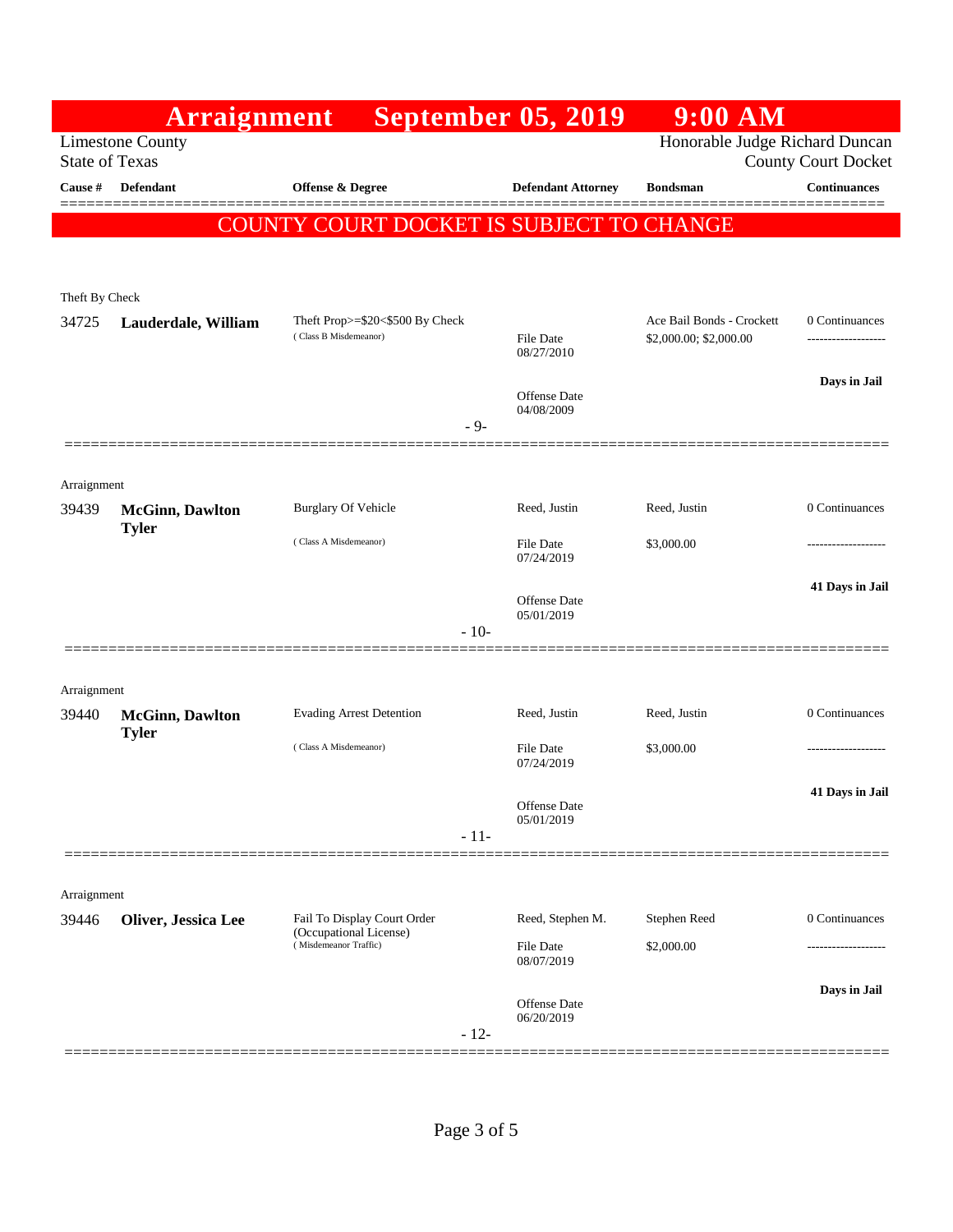|                                                                                                                  | Arraignment                              |                                                                                | <b>September 05, 2019</b>         | $9:00$ AM                 |                     |  |  |  |
|------------------------------------------------------------------------------------------------------------------|------------------------------------------|--------------------------------------------------------------------------------|-----------------------------------|---------------------------|---------------------|--|--|--|
| Honorable Judge Richard Duncan<br><b>Limestone County</b><br><b>State of Texas</b><br><b>County Court Docket</b> |                                          |                                                                                |                                   |                           |                     |  |  |  |
| Cause #                                                                                                          | Defendant                                | Offense & Degree                                                               | <b>Defendant Attorney</b>         | <b>Bondsman</b>           | <b>Continuances</b> |  |  |  |
|                                                                                                                  |                                          |                                                                                |                                   |                           |                     |  |  |  |
|                                                                                                                  | COUNTY COURT DOCKET IS SUBJECT TO CHANGE |                                                                                |                                   |                           |                     |  |  |  |
|                                                                                                                  |                                          |                                                                                |                                   |                           |                     |  |  |  |
| Theft By Check<br>34725                                                                                          | Lauderdale, William                      | Theft Prop>=\$20<\$500 By Check                                                |                                   | Ace Bail Bonds - Crockett | 0 Continuances      |  |  |  |
|                                                                                                                  |                                          | (Class B Misdemeanor)                                                          | File Date<br>08/27/2010           | \$2,000.00; \$2,000.00    |                     |  |  |  |
|                                                                                                                  |                                          |                                                                                | Offense Date                      |                           | Days in Jail        |  |  |  |
|                                                                                                                  |                                          | $-9-$                                                                          | 04/08/2009                        |                           |                     |  |  |  |
|                                                                                                                  |                                          |                                                                                |                                   |                           |                     |  |  |  |
| Arraignment                                                                                                      |                                          |                                                                                |                                   |                           |                     |  |  |  |
| 39439                                                                                                            | <b>McGinn</b> , Dawlton<br><b>Tyler</b>  | <b>Burglary Of Vehicle</b>                                                     | Reed, Justin                      | Reed, Justin              | 0 Continuances      |  |  |  |
|                                                                                                                  |                                          | (Class A Misdemeanor)                                                          | File Date<br>07/24/2019           | \$3,000.00                |                     |  |  |  |
|                                                                                                                  |                                          |                                                                                | <b>Offense</b> Date<br>05/01/2019 |                           | 41 Days in Jail     |  |  |  |
|                                                                                                                  |                                          | $-10-$                                                                         |                                   |                           |                     |  |  |  |
|                                                                                                                  |                                          |                                                                                |                                   |                           |                     |  |  |  |
| Arraignment<br>39440                                                                                             |                                          | <b>Evading Arrest Detention</b>                                                | Reed, Justin                      | Reed, Justin              | 0 Continuances      |  |  |  |
|                                                                                                                  | <b>McGinn</b> , Dawlton<br><b>Tyler</b>  |                                                                                |                                   |                           |                     |  |  |  |
|                                                                                                                  |                                          | (Class A Misdemeanor)                                                          | File Date<br>07/24/2019           | \$3,000.00                |                     |  |  |  |
|                                                                                                                  |                                          |                                                                                | Offense Date                      |                           | 41 Days in Jail     |  |  |  |
|                                                                                                                  |                                          | $-11-$                                                                         | 05/01/2019                        |                           |                     |  |  |  |
|                                                                                                                  |                                          |                                                                                |                                   |                           |                     |  |  |  |
| Arraignment                                                                                                      |                                          |                                                                                |                                   |                           |                     |  |  |  |
| 39446                                                                                                            | Oliver, Jessica Lee                      | Fail To Display Court Order<br>(Occupational License)<br>(Misdemeanor Traffic) | Reed, Stephen M.                  | Stephen Reed              | 0 Continuances      |  |  |  |
|                                                                                                                  |                                          |                                                                                | <b>File Date</b><br>08/07/2019    | \$2,000.00                |                     |  |  |  |
|                                                                                                                  |                                          |                                                                                |                                   |                           | Days in Jail        |  |  |  |
|                                                                                                                  |                                          | $-12-$                                                                         | <b>Offense Date</b><br>06/20/2019 |                           |                     |  |  |  |
|                                                                                                                  |                                          |                                                                                |                                   |                           |                     |  |  |  |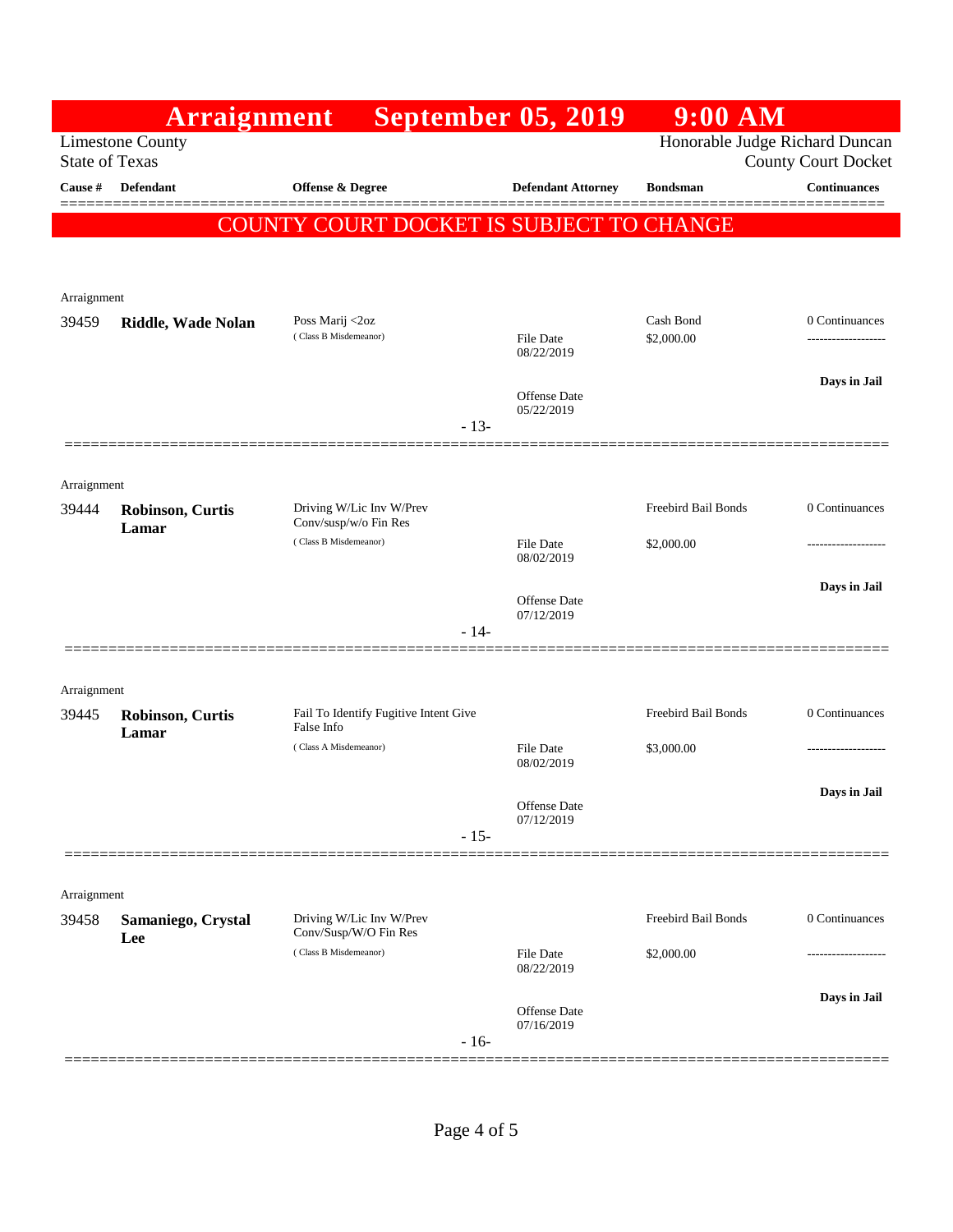|                | Arraignment                                      |                                                                              | <b>September 05, 2019</b>      | $9:00$ AM                      |                            |  |  |  |
|----------------|--------------------------------------------------|------------------------------------------------------------------------------|--------------------------------|--------------------------------|----------------------------|--|--|--|
|                | <b>Limestone County</b><br><b>State of Texas</b> |                                                                              |                                | Honorable Judge Richard Duncan | <b>County Court Docket</b> |  |  |  |
| <b>Cause #</b> | <b>Defendant</b>                                 | Offense & Degree                                                             | <b>Defendant Attorney</b>      | <b>Bondsman</b>                | <b>Continuances</b>        |  |  |  |
|                | COUNTY COURT DOCKET IS SUBJECT TO CHANGE         |                                                                              |                                |                                |                            |  |  |  |
|                |                                                  |                                                                              |                                |                                |                            |  |  |  |
| Arraignment    |                                                  |                                                                              |                                |                                |                            |  |  |  |
| 39459          | Riddle, Wade Nolan                               | Poss Marij <2oz                                                              |                                | Cash Bond                      | 0 Continuances             |  |  |  |
|                |                                                  | (Class B Misdemeanor)                                                        | File Date<br>08/22/2019        | \$2,000.00                     |                            |  |  |  |
|                |                                                  |                                                                              | Offense Date                   |                                | Days in Jail               |  |  |  |
|                |                                                  | $-13-$                                                                       | 05/22/2019                     |                                |                            |  |  |  |
|                |                                                  |                                                                              |                                |                                |                            |  |  |  |
| Arraignment    |                                                  |                                                                              |                                |                                |                            |  |  |  |
| 39444          | <b>Robinson, Curtis</b><br>Lamar                 | Driving W/Lic Inv W/Prev<br>Conv/susp/w/o Fin Res<br>(Class B Misdemeanor)   |                                | Freebird Bail Bonds            | 0 Continuances             |  |  |  |
|                |                                                  |                                                                              | <b>File Date</b><br>08/02/2019 | \$2,000.00                     |                            |  |  |  |
|                |                                                  |                                                                              | <b>Offense</b> Date            |                                | Days in Jail               |  |  |  |
|                |                                                  | $-14-$                                                                       | 07/12/2019                     |                                |                            |  |  |  |
|                |                                                  |                                                                              |                                |                                |                            |  |  |  |
| Arraignment    |                                                  |                                                                              |                                |                                |                            |  |  |  |
| 39445          | <b>Robinson, Curtis</b><br>Lamar                 | Fail To Identify Fugitive Intent Give<br>False Info<br>(Class A Misdemeanor) |                                | Freebird Bail Bonds            | 0 Continuances             |  |  |  |
|                |                                                  |                                                                              | <b>File Date</b><br>08/02/2019 | \$3,000.00                     | -------------------        |  |  |  |
|                |                                                  |                                                                              | Offense Date                   |                                | Days in Jail               |  |  |  |
|                |                                                  | $-15-$                                                                       | 07/12/2019                     |                                |                            |  |  |  |
|                |                                                  |                                                                              |                                |                                |                            |  |  |  |
| Arraignment    |                                                  |                                                                              |                                |                                |                            |  |  |  |
| 39458          | Samaniego, Crystal<br>Lee                        | Driving W/Lic Inv W/Prev<br>Conv/Susp/W/O Fin Res<br>(Class B Misdemeanor)   |                                | Freebird Bail Bonds            | 0 Continuances             |  |  |  |
|                |                                                  |                                                                              | <b>File Date</b><br>08/22/2019 | \$2,000.00                     |                            |  |  |  |
|                |                                                  |                                                                              | <b>Offense</b> Date            |                                | Days in Jail               |  |  |  |
|                |                                                  | $-16-$                                                                       | 07/16/2019                     |                                |                            |  |  |  |
|                |                                                  |                                                                              |                                |                                |                            |  |  |  |